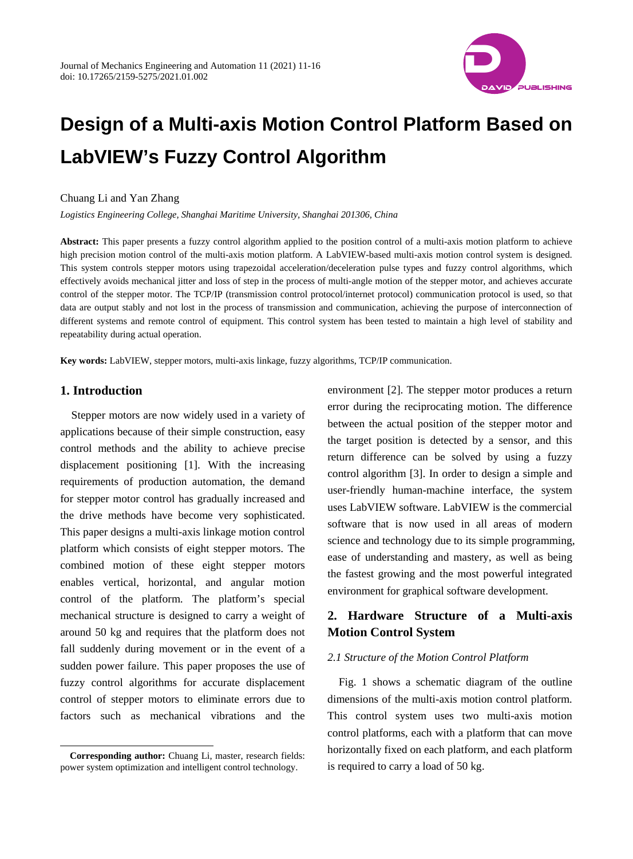

# **Design of a Multi-axis Motion Control Platform Based on LabVIEW's Fuzzy Control Algorithm**

#### Chuang Li and Yan Zhang

*Logistics Engineering College, Shanghai Maritime University, Shanghai 201306, China*

**Abstract:** This paper presents a fuzzy control algorithm applied to the position control of a multi-axis motion platform to achieve high precision motion control of the multi-axis motion platform. A LabVIEW-based multi-axis motion control system is designed. This system controls stepper motors using trapezoidal acceleration/deceleration pulse types and fuzzy control algorithms, which effectively avoids mechanical jitter and loss of step in the process of multi-angle motion of the stepper motor, and achieves accurate control of the stepper motor. The TCP/IP (transmission control protocol/internet protocol) communication protocol is used, so that data are output stably and not lost in the process of transmission and communication, achieving the purpose of interconnection of different systems and remote control of equipment. This control system has been tested to maintain a high level of stability and repeatability during actual operation.

**Key words:** LabVIEW, stepper motors, multi-axis linkage, fuzzy algorithms, TCP/IP communication.

## **1. Introduction**

 $\overline{a}$ 

Stepper motors are now widely used in a variety of applications because of their simple construction, easy control methods and the ability to achieve precise displacement positioning [1]. With the increasing requirements of production automation, the demand for stepper motor control has gradually increased and the drive methods have become very sophisticated. This paper designs a multi-axis linkage motion control platform which consists of eight stepper motors. The combined motion of these eight stepper motors enables vertical, horizontal, and angular motion control of the platform. The platform's special mechanical structure is designed to carry a weight of around 50 kg and requires that the platform does not fall suddenly during movement or in the event of a sudden power failure. This paper proposes the use of fuzzy control algorithms for accurate displacement control of stepper motors to eliminate errors due to factors such as mechanical vibrations and the

environment [2]. The stepper motor produces a return error during the reciprocating motion. The difference between the actual position of the stepper motor and the target position is detected by a sensor, and this return difference can be solved by using a fuzzy control algorithm [3]. In order to design a simple and user-friendly human-machine interface, the system uses LabVIEW software. LabVIEW is the commercial software that is now used in all areas of modern science and technology due to its simple programming, ease of understanding and mastery, as well as being the fastest growing and the most powerful integrated environment for graphical software development.

# **2. Hardware Structure of a Multi-axis Motion Control System**

#### *2.1 Structure of the Motion Control Platform*

Fig. 1 shows a schematic diagram of the outline dimensions of the multi-axis motion control platform. This control system uses two multi-axis motion control platforms, each with a platform that can move horizontally fixed on each platform, and each platform is required to carry a load of 50 kg.

<span id="page-0-0"></span>**Corresponding author:** Chuang Li, master, research fields: power system optimization and intelligent control technology.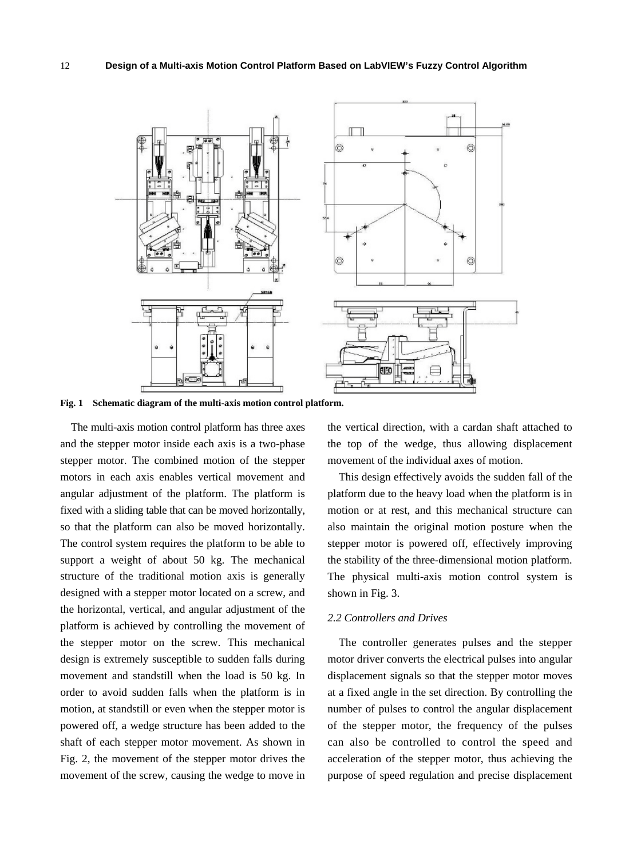

**Fig. 1 Schematic diagram of the multi-axis motion control platform.**

The multi-axis motion control platform has three axes and the stepper motor inside each axis is a two-phase stepper motor. The combined motion of the stepper motors in each axis enables vertical movement and angular adjustment of the platform. The platform is fixed with a sliding table that can be moved horizontally, so that the platform can also be moved horizontally. The control system requires the platform to be able to support a weight of about 50 kg. The mechanical structure of the traditional motion axis is generally designed with a stepper motor located on a screw, and the horizontal, vertical, and angular adjustment of the platform is achieved by controlling the movement of the stepper motor on the screw. This mechanical design is extremely susceptible to sudden falls during movement and standstill when the load is 50 kg. In order to avoid sudden falls when the platform is in motion, at standstill or even when the stepper motor is powered off, a wedge structure has been added to the shaft of each stepper motor movement. As shown in Fig. 2, the movement of the stepper motor drives the movement of the screw, causing the wedge to move in the vertical direction, with a cardan shaft attached to the top of the wedge, thus allowing displacement movement of the individual axes of motion.

This design effectively avoids the sudden fall of the platform due to the heavy load when the platform is in motion or at rest, and this mechanical structure can also maintain the original motion posture when the stepper motor is powered off, effectively improving the stability of the three-dimensional motion platform. The physical multi-axis motion control system is shown in Fig. 3.

#### *2.2 Controllers and Drives*

The controller generates pulses and the stepper motor driver converts the electrical pulses into angular displacement signals so that the stepper motor moves at a fixed angle in the set direction. By controlling the number of pulses to control the angular displacement of the stepper motor, the frequency of the pulses can also be controlled to control the speed and acceleration of the stepper motor, thus achieving the purpose of speed regulation and precise displacement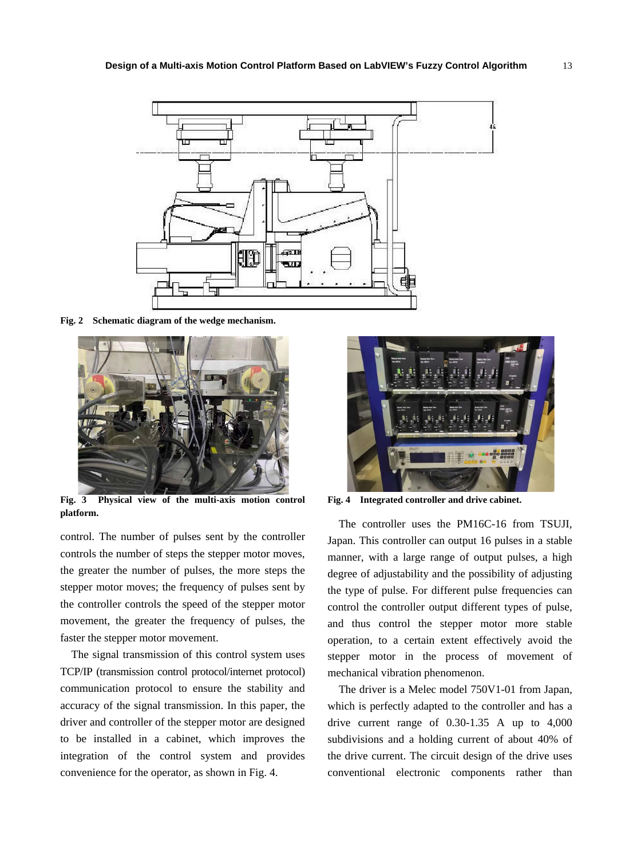

**Fig. 2 Schematic diagram of the wedge mechanism.**



**Fig. 3 Physical view of the multi-axis motion control platform.**

control. The number of pulses sent by the controller controls the number of steps the stepper motor moves, the greater the number of pulses, the more steps the stepper motor moves; the frequency of pulses sent by the controller controls the speed of the stepper motor movement, the greater the frequency of pulses, the faster the stepper motor movement.

The signal transmission of this control system uses TCP/IP (transmission control protocol/internet protocol) communication protocol to ensure the stability and accuracy of the signal transmission. In this paper, the driver and controller of the stepper motor are designed to be installed in a cabinet, which improves the integration of the control system and provides convenience for the operator, as shown in Fig. 4.



**Fig. 4 Integrated controller and drive cabinet.**

The controller uses the PM16C-16 from TSUJI, Japan. This controller can output 16 pulses in a stable manner, with a large range of output pulses, a high degree of adjustability and the possibility of adjusting the type of pulse. For different pulse frequencies can control the controller output different types of pulse, and thus control the stepper motor more stable operation, to a certain extent effectively avoid the stepper motor in the process of movement of mechanical vibration phenomenon.

The driver is a Melec model 750V1-01 from Japan, which is perfectly adapted to the controller and has a drive current range of 0.30-1.35 A up to 4,000 subdivisions and a holding current of about 40% of the drive current. The circuit design of the drive uses conventional electronic components rather than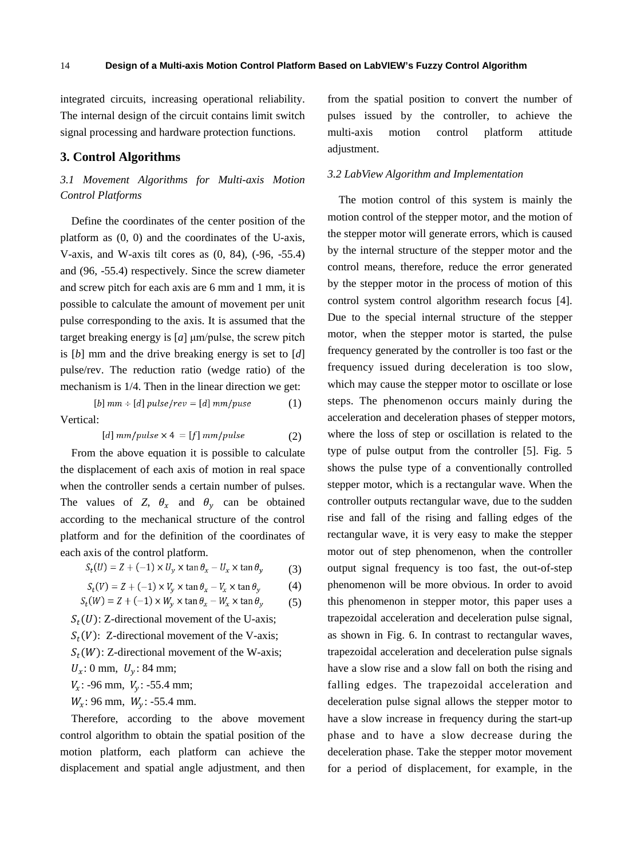integrated circuits, increasing operational reliability. The internal design of the circuit contains limit switch signal processing and hardware protection functions.

### **3. Control Algorithms**

## *3.1 Movement Algorithms for Multi-axis Motion Control Platforms*

Define the coordinates of the center position of the platform as (0, 0) and the coordinates of the U-axis, V-axis, and W-axis tilt cores as (0, 84), (-96, -55.4) and (96, -55.4) respectively. Since the screw diameter and screw pitch for each axis are 6 mm and 1 mm, it is possible to calculate the amount of movement per unit pulse corresponding to the axis. It is assumed that the target breaking energy is [*a*] μm/pulse, the screw pitch is [*b*] mm and the drive breaking energy is set to [*d*] pulse/rev. The reduction ratio (wedge ratio) of the mechanism is 1/4. Then in the linear direction we get:

$$
[b] \, mm + [d] \, pulse / rev = [d] \, mm / pulse \tag{1}
$$

Vertical:

$$
[d] mm/pulse \times 4 = [f] mm/pulse \tag{2}
$$

From the above equation it is possible to calculate the displacement of each axis of motion in real space when the controller sends a certain number of pulses. The values of *Z*,  $\theta_x$  and  $\theta_y$  can be obtained according to the mechanical structure of the control platform and for the definition of the coordinates of each axis of the control platform.

$$
S_t(U) = Z + (-1) \times U_y \times \tan \theta_x - U_x \times \tan \theta_y \tag{3}
$$

$$
S_t(V) = Z + (-1) \times V_y \times \tan \theta_x - V_x \times \tan \theta_y \tag{4}
$$

$$
S_t(W) = Z + (-1) \times W_y \times \tan \theta_x - W_x \times \tan \theta_y
$$
 (5)

 $S_t(U)$ : Z-directional movement of the U-axis;  $S_t(V)$ : Z-directional movement of the V-axis;  $S_t(W)$ : Z-directional movement of the W-axis;  $U_x$ : 0 mm,  $U_y$ : 84 mm;  $V_x$ : -96 mm,  $V_y$ : -55.4 mm;

 $W_x$ : 96 mm,  $W_y$ : -55.4 mm.

Therefore, according to the above movement control algorithm to obtain the spatial position of the motion platform, each platform can achieve the displacement and spatial angle adjustment, and then from the spatial position to convert the number of pulses issued by the controller, to achieve the multi-axis motion control platform attitude adjustment.

## *3.2 LabView Algorithm and Implementation*

The motion control of this system is mainly the motion control of the stepper motor, and the motion of the stepper motor will generate errors, which is caused by the internal structure of the stepper motor and the control means, therefore, reduce the error generated by the stepper motor in the process of motion of this control system control algorithm research focus [4]. Due to the special internal structure of the stepper motor, when the stepper motor is started, the pulse frequency generated by the controller is too fast or the frequency issued during deceleration is too slow, which may cause the stepper motor to oscillate or lose steps. The phenomenon occurs mainly during the acceleration and deceleration phases of stepper motors, where the loss of step or oscillation is related to the type of pulse output from the controller [5]. Fig. 5 shows the pulse type of a conventionally controlled stepper motor, which is a rectangular wave. When the controller outputs rectangular wave, due to the sudden rise and fall of the rising and falling edges of the rectangular wave, it is very easy to make the stepper motor out of step phenomenon, when the controller output signal frequency is too fast, the out-of-step phenomenon will be more obvious. In order to avoid this phenomenon in stepper motor, this paper uses a trapezoidal acceleration and deceleration pulse signal, as shown in Fig. 6. In contrast to rectangular waves, trapezoidal acceleration and deceleration pulse signals have a slow rise and a slow fall on both the rising and falling edges. The trapezoidal acceleration and deceleration pulse signal allows the stepper motor to have a slow increase in frequency during the start-up phase and to have a slow decrease during the deceleration phase. Take the stepper motor movement for a period of displacement, for example, in the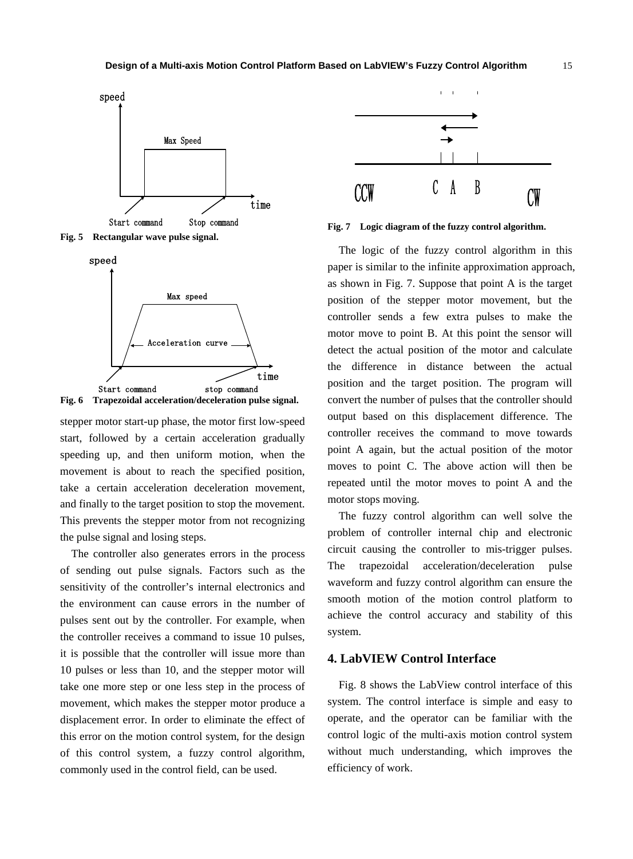

**Fig. 5 Rectangular wave pulse signal.**





stepper motor start-up phase, the motor first low-speed start, followed by a certain acceleration gradually speeding up, and then uniform motion, when the movement is about to reach the specified position, take a certain acceleration deceleration movement, and finally to the target position to stop the movement. This prevents the stepper motor from not recognizing the pulse signal and losing steps.

The controller also generates errors in the process of sending out pulse signals. Factors such as the sensitivity of the controller's internal electronics and the environment can cause errors in the number of pulses sent out by the controller. For example, when the controller receives a command to issue 10 pulses, it is possible that the controller will issue more than 10 pulses or less than 10, and the stepper motor will take one more step or one less step in the process of movement, which makes the stepper motor produce a displacement error. In order to eliminate the effect of this error on the motion control system, for the design of this control system, a fuzzy control algorithm, commonly used in the control field, can be used.



**Fig. 7 Logic diagram of the fuzzy control algorithm.**

The logic of the fuzzy control algorithm in this paper is similar to the infinite approximation approach, as shown in Fig. 7. Suppose that point A is the target position of the stepper motor movement, but the controller sends a few extra pulses to make the motor move to point B. At this point the sensor will detect the actual position of the motor and calculate the difference in distance between the actual position and the target position. The program will convert the number of pulses that the controller should output based on this displacement difference. The controller receives the command to move towards point A again, but the actual position of the motor moves to point C. The above action will then be repeated until the motor moves to point A and the motor stops moving.

The fuzzy control algorithm can well solve the problem of controller internal chip and electronic circuit causing the controller to mis-trigger pulses. The trapezoidal acceleration/deceleration pulse waveform and fuzzy control algorithm can ensure the smooth motion of the motion control platform to achieve the control accuracy and stability of this system.

#### **4. LabVIEW Control Interface**

Fig. 8 shows the LabView control interface of this system. The control interface is simple and easy to operate, and the operator can be familiar with the control logic of the multi-axis motion control system without much understanding, which improves the efficiency of work.